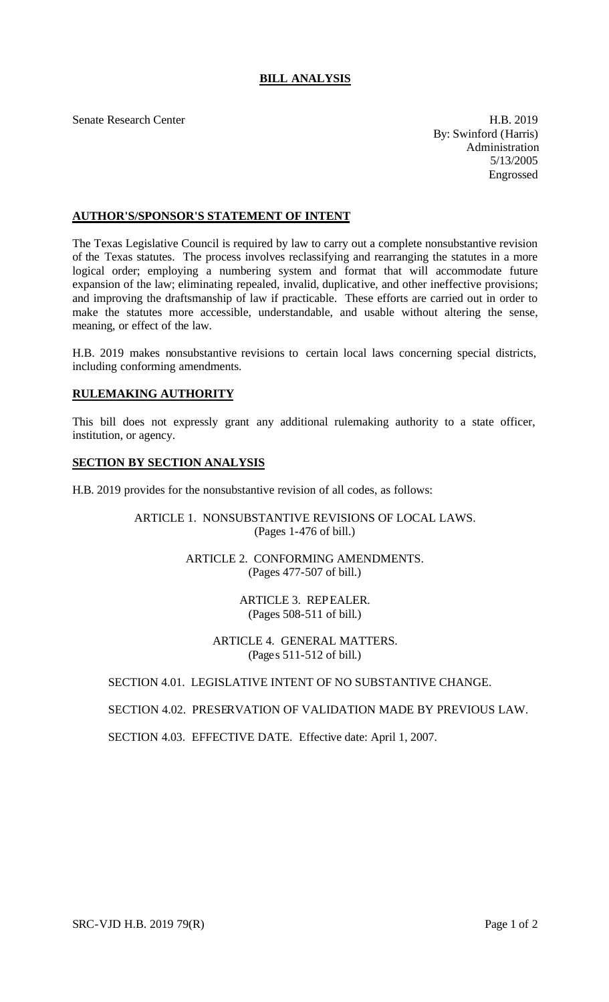# **BILL ANALYSIS**

Senate Research Center **H.B. 2019** 

By: Swinford (Harris) Administration 5/13/2005 Engrossed

# **AUTHOR'S/SPONSOR'S STATEMENT OF INTENT**

The Texas Legislative Council is required by law to carry out a complete nonsubstantive revision of the Texas statutes. The process involves reclassifying and rearranging the statutes in a more logical order; employing a numbering system and format that will accommodate future expansion of the law; eliminating repealed, invalid, duplicative, and other ineffective provisions; and improving the draftsmanship of law if practicable. These efforts are carried out in order to make the statutes more accessible, understandable, and usable without altering the sense, meaning, or effect of the law.

H.B. 2019 makes nonsubstantive revisions to certain local laws concerning special districts, including conforming amendments.

## **RULEMAKING AUTHORITY**

This bill does not expressly grant any additional rulemaking authority to a state officer, institution, or agency.

#### **SECTION BY SECTION ANALYSIS**

H.B. 2019 provides for the nonsubstantive revision of all codes, as follows:

#### ARTICLE 1. NONSUBSTANTIVE REVISIONS OF LOCAL LAWS. (Pages 1-476 of bill.)

## ARTICLE 2. CONFORMING AMENDMENTS. (Pages 477-507 of bill.)

ARTICLE 3. REPEALER. (Pages 508-511 of bill.)

ARTICLE 4. GENERAL MATTERS. (Pages 511-512 of bill.)

#### SECTION 4.01. LEGISLATIVE INTENT OF NO SUBSTANTIVE CHANGE.

#### SECTION 4.02. PRESERVATION OF VALIDATION MADE BY PREVIOUS LAW.

SECTION 4.03. EFFECTIVE DATE. Effective date: April 1, 2007.